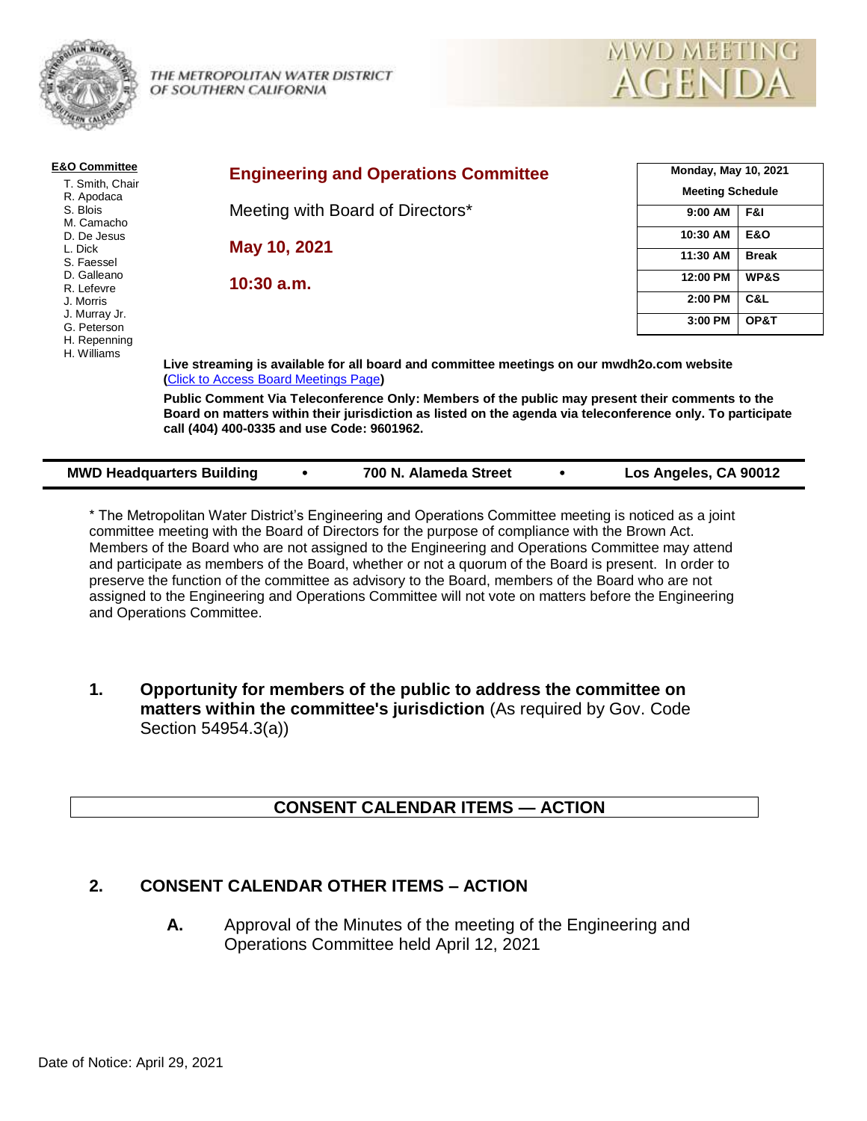

THE METROPOLITAN WATER DISTRICT OF SOUTHERN CALIFORNIA



| <b>E&amp;O Committee</b>                           | <b>Engineering and Operations Committee</b>                                                                                                                                                                                                                 | <b>Monday, May 10, 2021</b><br><b>Meeting Schedule</b> |                |  |  |  |
|----------------------------------------------------|-------------------------------------------------------------------------------------------------------------------------------------------------------------------------------------------------------------------------------------------------------------|--------------------------------------------------------|----------------|--|--|--|
| T. Smith, Chair<br>R. Apodaca                      |                                                                                                                                                                                                                                                             |                                                        |                |  |  |  |
| S. Blois<br>M. Camacho                             | Meeting with Board of Directors*                                                                                                                                                                                                                            | 9:00 AM                                                | F&I            |  |  |  |
| D. De Jesus                                        |                                                                                                                                                                                                                                                             | 10:30 AM                                               | <b>E&amp;O</b> |  |  |  |
| L. Dick<br>S. Faessel<br>D. Galleano<br>R. Lefevre | May 10, 2021                                                                                                                                                                                                                                                | 11:30 AM                                               | <b>Break</b>   |  |  |  |
|                                                    | $10:30$ a.m.                                                                                                                                                                                                                                                | 12:00 PM                                               | WP&S           |  |  |  |
| J. Morris                                          |                                                                                                                                                                                                                                                             | 2:00 PM                                                | C&L            |  |  |  |
| J. Murray Jr.<br>G. Peterson                       |                                                                                                                                                                                                                                                             | 3:00 PM                                                | OP&T           |  |  |  |
| H. Repenning<br>H. Williams                        |                                                                                                                                                                                                                                                             |                                                        |                |  |  |  |
|                                                    | Live streaming is available for all board and committee meetings on our mwdh2o.com website<br>(Click to Access Board Meetings Page)                                                                                                                         |                                                        |                |  |  |  |
|                                                    | Public Comment Via Teleconference Only: Members of the public may present their comments to the<br>Board on matters within their jurisdiction as listed on the agenda via teleconference only. To participate<br>call (404) 400-0335 and use Code: 9601962. |                                                        |                |  |  |  |

| <b>MWD Headquarters Building</b> | 700 N. Alameda Street | Los Angeles, CA 90012 |
|----------------------------------|-----------------------|-----------------------|
|                                  |                       |                       |

\* The Metropolitan Water District's Engineering and Operations Committee meeting is noticed as a joint committee meeting with the Board of Directors for the purpose of compliance with the Brown Act. Members of the Board who are not assigned to the Engineering and Operations Committee may attend and participate as members of the Board, whether or not a quorum of the Board is present. In order to preserve the function of the committee as advisory to the Board, members of the Board who are not assigned to the Engineering and Operations Committee will not vote on matters before the Engineering and Operations Committee.

**1. Opportunity for members of the public to address the committee on matters within the committee's jurisdiction** (As required by Gov. Code Section 54954.3(a))

# **CONSENT CALENDAR ITEMS — ACTION**

# **2. CONSENT CALENDAR OTHER ITEMS – ACTION**

**A.** Approval of the Minutes of the meeting of the Engineering and Operations Committee held April 12, 2021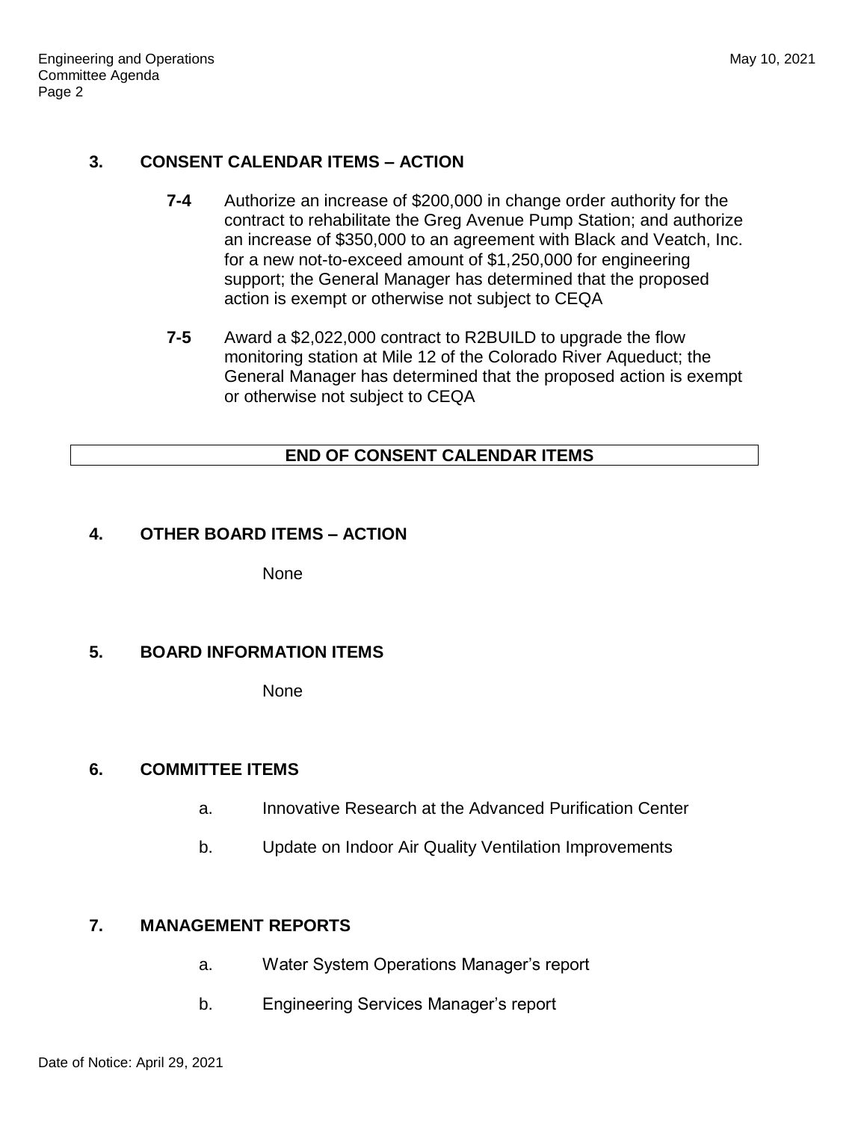# **3. CONSENT CALENDAR ITEMS – ACTION**

- **7-4** Authorize an increase of \$200,000 in change order authority for the contract to rehabilitate the Greg Avenue Pump Station; and authorize an increase of \$350,000 to an agreement with Black and Veatch, Inc. for a new not-to-exceed amount of \$1,250,000 for engineering support; the General Manager has determined that the proposed action is exempt or otherwise not subject to CEQA
- **7-5** Award a \$2,022,000 contract to R2BUILD to upgrade the flow monitoring station at Mile 12 of the Colorado River Aqueduct; the General Manager has determined that the proposed action is exempt or otherwise not subject to CEQA

#### **END OF CONSENT CALENDAR ITEMS**

#### **4. OTHER BOARD ITEMS – ACTION**

None

# **5. BOARD INFORMATION ITEMS**

None

# **6. COMMITTEE ITEMS**

- a. Innovative Research at the Advanced Purification Center
- b. Update on Indoor Air Quality Ventilation Improvements

# **7. MANAGEMENT REPORTS**

- a. Water System Operations Manager's report
- b. Engineering Services Manager's report